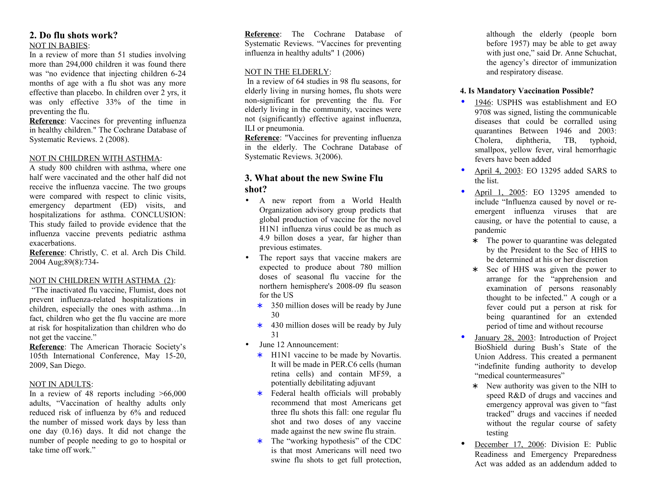### **2. Do flu shots work?** NOT IN BABIES:

In a review of more than 51 studies involving more than 294,000 children it was found there was "no evidence that injecting children 6-24 months of age with a flu shot was any more effective than placebo. In children over 2 yrs, it was only effective 33% of the time in preventing the flu.

**Reference**: Vaccines for preventing influenza in healthy children." The Cochrane Database of Systematic Reviews. 2 (2008).

#### NOT IN CHILDREN WITH ASTHMA:

A study 800 children with asthma, where one half were vaccinated and the other half did not receive the influenza vaccine. The two groups were compared with respect to clinic visits, emergency department (ED) visits, and hospitalizations for asthma. CONCLUSION: This study failed to provide evidence that the influenza vaccine prevents pediatric asthma exacerbations.

**Reference**: Christly, C. et al. Arch Dis Child. 2004 Aug;89(8):734-

#### NOT IN CHILDREN WITH ASTHMA (2):

 "The inactivated flu vaccine, Flumist, does not prevent influenza-related hospitalizations in children, especially the ones with asthma…In fact, children who get the flu vaccine are more at risk for hospitalization than children who do not get the vaccine."

**Reference**: The American Thoracic Society's 105th International Conference, May 15-20, 2009, San Diego.

#### NOT IN ADULTS:

In a review of 48 reports including  $>66,000$ adults, "Vaccination of healthy adults only reduced risk of influenza by 6% and reduced the number of missed work days by less than one day (0.16) days. It did not change the number of people needing to go to hospital or take time off work."

**Reference**: The Cochrane Database of Systematic Reviews. "Vaccines for preventing influenza in healthy adults" 1 (2006)

#### NOT IN THE ELDERLY:

 In a review of 64 studies in 98 flu seasons, for elderly living in nursing homes, flu shots were non-significant for preventing the flu. For elderly living in the community, vaccines were not (significantly) effective against influenza, ILI or pneumonia.

**Reference**: "Vaccines for preventing influenza in the elderly. The Cochrane Database of Systematic Reviews. 3(2006).

## **3. What about the new Swine Flu shot?**

- A new report from a World Health Organization advisory group predicts that global production of vaccine for the novel H1N1 influenza virus could be as much as 4.9 billon doses a year, far higher than previous estimates.
- The report says that vaccine makers are expected to produce about 780 million doses of seasonal flu vaccine for the northern hemisphere's 2008-09 flu season for the US
	- ∗ 350 million doses will be ready by June 30
	- ∗ 430 million doses will be ready by July 31
- June 12 Announcement:
	- ∗ H1N1 vaccine to be made by Novartis. It will be made in PER.C6 cells (human retina cells) and contain MF59, a potentially debilitating adjuvant
	- ∗ Federal health officials will probably recommend that most Americans get three flu shots this fall: one regular flu shot and two doses of any vaccine made against the new swine flu strain.
	- ∗ The "working hypothesis" of the CDC is that most Americans will need two swine flu shots to get full protection,

although the elderly (people born before 1957) may be able to get away with just one," said Dr. Anne Schuchat, the agency's director of immunization and respiratory disease.

#### **4. Is Mandatory Vaccination Possible?**

- 1946: USPHS was establishment and EO 9708 was signed, listing the communicable diseases that could be corralled using quarantines Between 1946 and 2003: Cholera, diphtheria, TB, typhoid, smallpox, yellow fever, viral hemorrhagic fevers have been added
- April 4, 2003: EO 13295 added SARS to the list.
- April 1, 2005: EO 13295 amended to include "Influenza caused by novel or reemergent influenza viruses that are causing, or have the potential to cause, a pandemic
	- ∗ The power to quarantine was delegated by the President to the Sec of HHS to be determined at his or her discretion
	- ∗ Sec of HHS was given the power to arrange for the "apprehension and examination of persons reasonably thought to be infected." A cough or a fever could put a person at risk for being quarantined for an extended period of time and without recourse
- January 28, 2003: Introduction of Project BioShield during Bush's State of the Union Address. This created a permanent "indefinite funding authority to develop "medical countermeasures"
	- ∗ New authority was given to the NIH to speed R&D of drugs and vaccines and emergency approval was given to "fast tracked" drugs and vaccines if needed without the regular course of safety testing
- December 17, 2006: Division E: Public Readiness and Emergency Preparedness Act was added as an addendum added to